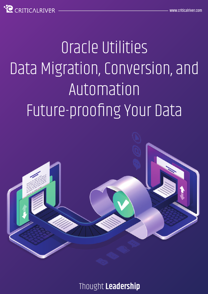CRITICAL RIVER

# Oracle Utilities Data Migration, Conversion, and Automation Future-proofing Your Data



Thought **Leadership**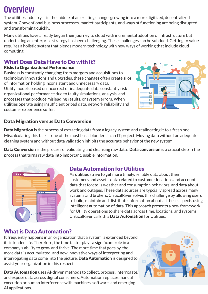# **Overview**

The utilities industry is in the middle of an exciting change, growing into a more digitized, decentralized system. Conventional business processes, market participants, and ways of functioning are being disrupted and transforming quickly.

Many utilities have already begun their journey to cloud with incremental adoption of infrastructure but undertaking an enterprise strategy has been challenging. These challenges can be subdued. Getting to value requires a holistic system that blends modern technology with new ways of working that include cloud computing.

#### What Does Data Have to Do with It?

#### Risks to Organizational Performance

Business is constantly changing; from mergers and acquisitions to technology innovations and upgrades, these changes often create silos of information holding inconsistent and unnecessary data. Utility models based on incorrect or inadequate data constantly risk organizational performance due to faulty simulations, analysis, and processes that produce misleading results, or system errors. When utilities operate using insufficient or bad data, network reliability and customer experience suffer.



#### Data Migration versus Data Conversion

Data Migration is the process of extracting data from a legacy system and reallocating it to a fresh one. Miscalculating this task is one of the most basic blunders in an IT project. Moving data without an adequate cleaning system and without data validation inhibits the accurate behavior of the new system.

Data Conversion is the process of validating and cleansing raw data. Data conversion is a crucial step in the process that turns raw data into important, usable information.



## Data Automation for Utilities

As utilities strive to get more timely, reliable data about their customers and assets, data related to customer locations and accounts, data that foretells weather and consumption behaviors, and data about work and outages. These data sources are typcially spread across many systems and brokers. CriticalRiver solves this challenge by allowing users to build, maintain and distribute information about all these aspects using intelligent automation of data. This approach presents a new framework for Utility operations to share data across time, locations, and systems. CriticalRiver calls this Data Automation for Utilities.

## What is Data Automation?

It frequently happens in an organization that a system is extended beyond its intended life. Therefore, the time factor plays a significant role in a company's ability to grow and thrive. The more time that goes by, the more data is accumulated, and new innovative ways of interpreting and interrogating data come into the picture. Data Automation is designed to assist your organization in this respect.

Data Automation uses AI-driven methods to collect, process, interrogate, and expose data across digital consumers. Automation replaces manual execution or human interference with machines, software, and emerging AI applications.

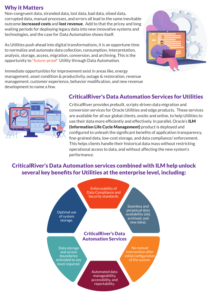#### Why it Matters

Non-congruent data, stranded data, lost data, bad data, siloed data, corrupted data, manual processes, and errors all lead to the same inevitable outcome **increased costs** and **lost revenue**. Add to that the pricey and long waiting periods for deploying legacy data into new innovative systems and technologies, and the case for Data Automation shows itself.

As Utilities push ahead into digital transformations, it is an opportune time to normalize and automate data collection, consumption, Interpretation, analysis, storage, access, migration, conversion, and archiving. This is the opportunity to "future-proof" Utility through Data Automation.



Immediate opportunities for improvement exist in areas like, energy management, asset condition & productivity, outage & restoration, revenue management, customer experience, behavior modification, and new revenue development to name a few.



#### CriticalRiver's Data Automation Services for Utilities

CriticalRiver provides prebuilt, scripts-driven data migration and conversion services for Oracle Utilities and edge products. These services are available for all our global clients, onsite and online, to help Utilities to use their data more efficiently and effectively. In parallel, Oracle's **ILM** (Information Life Cycle Management) product is deployed and configured to unleash the significant benefits of application transparency, fine-grained data, low-cost storage, and data compliance/ enforcement. This helps clients handle their historical data mass without restricting operational access to data, and without affecting the new system's performance.

#### CriticalRiver's Data Automation services combined with ILM help unlock several key benefits for Utilities at the enterprise level, including:

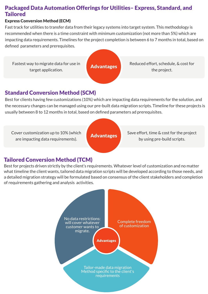#### Packaged Data Automation Offerings for Utilities– Express, Standard, and **Tailored**

#### Express Conversion Method (ECM)

Fast track for utilities to transfer data from their legacy systems into target system. This methodology is recommended when there is a time constraint with minimum customization (not more than 5%) which are impacting data requirements. Timelines for the project completion is between 6 to 7 months in total, based on defined parameters and prerequisites.



Advantages Reduced effort, schedule, & cost for the project.

#### Standard Conversion Method (SCM)

Best for clients having few customizations (10%) which are impacting data requirements for the solution, and the necessary changes can be managed using our pre-built data migration scripts. Timeline for these projects is usually between 8 to 12 months in total, based on defined parameters ad prerequisites.

Cover customization up to 10% (which are impacting data requirements).

Advantages Save effort, time & cost for the project by using pre-build scripts.

## Tailored Conversion Method (TCM)

Best for projects driven strictly by the client's requirements. Whatever level of customization and no matter what timeline the client wants, tailored data migration scripts will be developed according to those needs, and a detailed migration strategy will be formulated based on consensus of the client stakeholders and completion of requirements gathering and analysis activities.

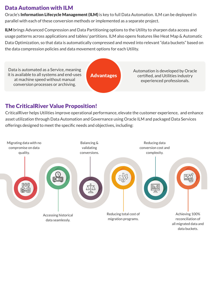## Data Automation with ILM

Oracle's Information Lifecycle Management (ILM) is key to full Data Automation. ILM can be deployed in parallel with each of these conversion methods or implemented as a separate project.

ILM brings Advanced Compression and Data Partitioning options to the Utility to sharpen data access and usage patterns across applications and tables/ partitions. ILM also opens features like Heat Map & Automatic Data Optimization, so that data is automatically compressed and moved into relevant "data buckets" based on the data compression policies and data movement options for each Utility.

Data is automated as a Service, meaning it is available to all systems and end-uses at machine speed without manual conversion processes or archiving.

Advantages

Automation is developed by Oracle certified, and Utilities industry experienced professionals.

# The CriticalRiver Value Proposition!

CriticalRiver helps Utilities improve operational performance, elevate the customer experience, and enhance asset utilization through Data Automation and Governance using Oracle ILM and packaged Data Services offerings designed to meet the specific needs and objectives, including: